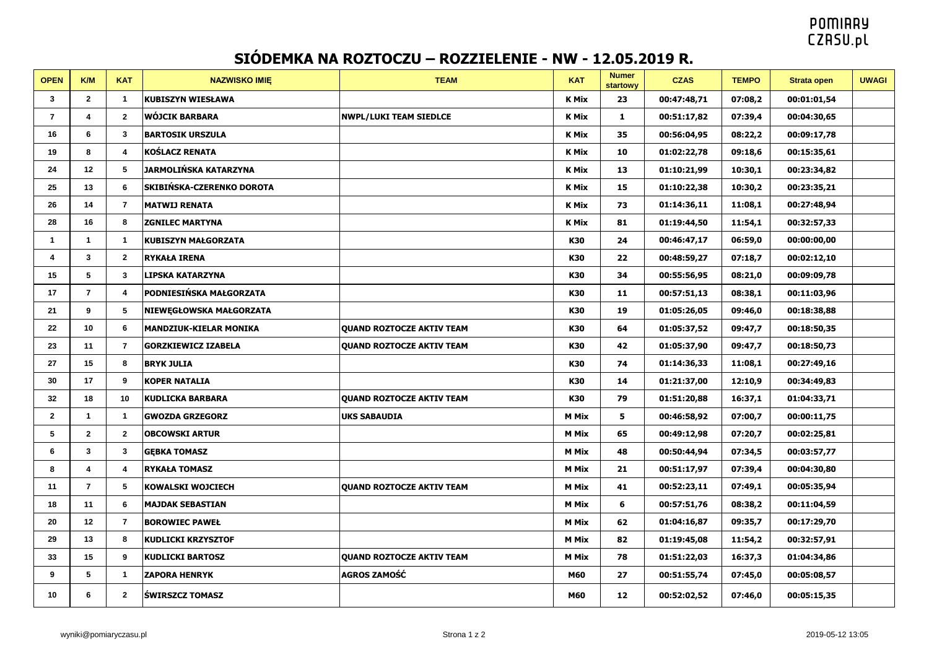## **POMIARY CZASU.pl**

## **SIÓDEMKA NA ROZTOCZU – ROZZIELENIE - NW - 12.05.2019 R.**

| <b>OPEN</b>    | K/M            | <b>KAT</b>              | <b>NAZWISKO IMIE</b>          | <b>TEAM</b>                      | <b>KAT</b>   | <b>Numer</b><br><b>startowy</b> | <b>CZAS</b> | <b>TEMPO</b> | Strata open | <b>UWAGI</b> |
|----------------|----------------|-------------------------|-------------------------------|----------------------------------|--------------|---------------------------------|-------------|--------------|-------------|--------------|
| 3              | $\mathbf{2}$   | $\mathbf{1}$            | <b>KUBISZYN WIESŁAWA</b>      |                                  | <b>K Mix</b> | 23                              | 00:47:48,71 | 07:08,2      | 00:01:01,54 |              |
| $\overline{7}$ | 4              | $\mathbf{2}$            | <b>WÓJCIK BARBARA</b>         | <b>NWPL/LUKI TEAM SIEDLCE</b>    | <b>K Mix</b> | $\mathbf{1}$                    | 00:51:17,82 | 07:39,4      | 00:04:30,65 |              |
| 16             | 6              | $3^{\circ}$             | <b>BARTOSIK URSZULA</b>       |                                  | <b>K Mix</b> | 35                              | 00:56:04,95 | 08:22,2      | 00:09:17,78 |              |
| 19             | 8              | $\overline{4}$          | <b>KOŚLACZ RENATA</b>         |                                  | <b>K Mix</b> | 10                              | 01:02:22,78 | 09:18,6      | 00:15:35,61 |              |
| 24             | 12             | 5                       | JARMOLIŃSKA KATARZYNA         |                                  | <b>K Mix</b> | 13                              | 01:10:21,99 | 10:30,1      | 00:23:34,82 |              |
| 25             | 13             | 6                       | SKIBIŃSKA-CZERENKO DOROTA     |                                  | <b>K Mix</b> | 15                              | 01:10:22,38 | 10:30,2      | 00:23:35,21 |              |
| 26             | 14             | $\overline{7}$          | <b>MATWIJ RENATA</b>          |                                  | <b>K Mix</b> | 73                              | 01:14:36,11 | 11:08,1      | 00:27:48,94 |              |
| 28             | 16             | 8                       | <b>ZGNILEC MARTYNA</b>        |                                  | <b>K Mix</b> | 81                              | 01:19:44,50 | 11:54,1      | 00:32:57,33 |              |
| 1              | $\mathbf{1}$   | $\mathbf{1}$            | <b>KUBISZYN MAŁGORZATA</b>    |                                  | K30          | 24                              | 00:46:47,17 | 06:59,0      | 00:00:00,00 |              |
| 4              | $\mathbf{3}$   | $\overline{2}$          | <b>RYKAŁA IRENA</b>           |                                  | <b>K30</b>   | 22                              | 00:48:59,27 | 07:18,7      | 00:02:12,10 |              |
| 15             | 5              | 3                       | <b>LIPSKA KATARZYNA</b>       |                                  | K30          | 34                              | 00:55:56,95 | 08:21,0      | 00:09:09,78 |              |
| 17             | $\overline{7}$ | 4                       | PODNIESIŃSKA MAŁGORZATA       |                                  | K30          | 11                              | 00:57:51,13 | 08:38,1      | 00:11:03,96 |              |
| 21             | 9              | 5                       | NIEWEGŁOWSKA MAŁGORZATA       |                                  | K30          | 19                              | 01:05:26,05 | 09:46,0      | 00:18:38,88 |              |
| 22             | 10             | 6                       | <b>MANDZIUK-KIELAR MONIKA</b> | <b>QUAND ROZTOCZE AKTIV TEAM</b> | K30          | 64                              | 01:05:37,52 | 09:47,7      | 00:18:50,35 |              |
| 23             | 11             | $\overline{7}$          | <b>GORZKIEWICZ IZABELA</b>    | <b>QUAND ROZTOCZE AKTIV TEAM</b> | K30          | 42                              | 01:05:37,90 | 09:47,7      | 00:18:50,73 |              |
| 27             | 15             | 8                       | <b>BRYK JULIA</b>             |                                  | K30          | 74                              | 01:14:36,33 | 11:08,1      | 00:27:49,16 |              |
| 30             | 17             | 9                       | <b>KOPER NATALIA</b>          |                                  | K30          | 14                              | 01:21:37,00 | 12:10,9      | 00:34:49,83 |              |
| 32             | 18             | 10                      | <b>KUDLICKA BARBARA</b>       | <b>QUAND ROZTOCZE AKTIV TEAM</b> | K30          | 79                              | 01:51:20,88 | 16:37,1      | 01:04:33,71 |              |
| $\mathbf{2}$   | 1              | $\mathbf{1}$            | <b>GWOZDA GRZEGORZ</b>        | <b>UKS SABAUDIA</b>              | M Mix        | 5                               | 00:46:58,92 | 07:00,7      | 00:00:11,75 |              |
| 5              | $\mathbf{2}$   | $\mathbf{2}$            | <b>OBCOWSKI ARTUR</b>         |                                  | <b>M Mix</b> | 65                              | 00:49:12,98 | 07:20,7      | 00:02:25,81 |              |
| 6              | 3              | 3                       | <b>GEBKA TOMASZ</b>           |                                  | <b>M Mix</b> | 48                              | 00:50:44,94 | 07:34,5      | 00:03:57,77 |              |
| 8              | 4              | $\overline{\mathbf{4}}$ | <b>RYKAŁA TOMASZ</b>          |                                  | <b>M Mix</b> | 21                              | 00:51:17,97 | 07:39,4      | 00:04:30,80 |              |
| 11             | $\overline{7}$ | 5                       | <b>KOWALSKI WOJCIECH</b>      | <b>QUAND ROZTOCZE AKTIV TEAM</b> | <b>M Mix</b> | 41                              | 00:52:23,11 | 07:49,1      | 00:05:35,94 |              |
| 18             | 11             | 6                       | <b>MAJDAK SEBASTIAN</b>       |                                  | <b>M Mix</b> | 6                               | 00:57:51,76 | 08:38,2      | 00:11:04,59 |              |
| 20             | 12             | $\overline{7}$          | <b>BOROWIEC PAWEŁ</b>         |                                  | <b>M Mix</b> | 62                              | 01:04:16,87 | 09:35,7      | 00:17:29,70 |              |
| 29             | 13             | 8                       | <b>KUDLICKI KRZYSZTOF</b>     |                                  | <b>M Mix</b> | 82                              | 01:19:45,08 | 11:54,2      | 00:32:57,91 |              |
| 33             | 15             | 9                       | <b>KUDLICKI BARTOSZ</b>       | <b>QUAND ROZTOCZE AKTIV TEAM</b> | <b>M Mix</b> | 78                              | 01:51:22,03 | 16:37,3      | 01:04:34,86 |              |
| 9              | 5              | $\mathbf{1}$            | <b>ZAPORA HENRYK</b>          | AGROS ZAMOŚĆ                     | M60          | 27                              | 00:51:55,74 | 07:45,0      | 00:05:08,57 |              |
| 10             | 6              | $\mathbf{2}$            | <b>ŚWIRSZCZ TOMASZ</b>        |                                  | M60          | 12                              | 00:52:02,52 | 07:46,0      | 00:05:15,35 |              |